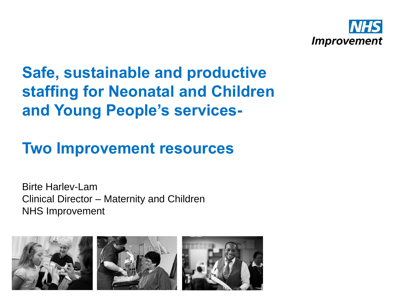

# **Safe, sustainable and productive staffing for Neonatal and Children and Young People's services-**

# **Two Improvement resources**

Birte Harlev-Lam Clinical Director – Maternity and Children NHS Improvement

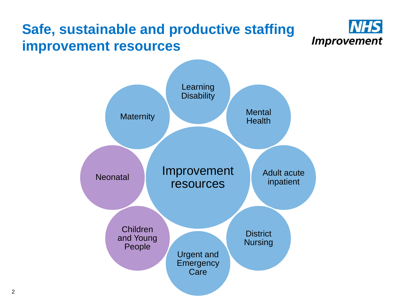#### **Safe, sustainable and productive staffing Improvement improvement resources**

**NHS** 

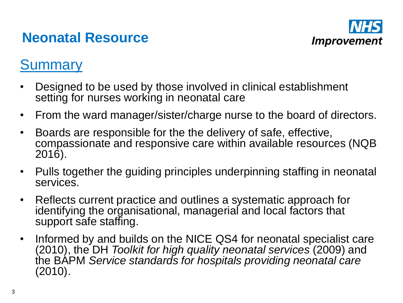#### **Neonatal Resource**



#### **Summary**

- Designed to be used by those involved in clinical establishment setting for nurses working in neonatal care
- From the ward manager/sister/charge nurse to the board of directors.
- Boards are responsible for the the delivery of safe, effective, compassionate and responsive care within available resources (NQB 2016).
- Pulls together the guiding principles underpinning staffing in neonatal services.
- Reflects current practice and outlines a systematic approach for identifying the organisational, managerial and local factors that support safe staffing.
- Informed by and builds on the NICE QS4 for neonatal specialist care (2010), the DH *Toolkit for high quality neonatal services* (2009) and the BAPM *Service standards for hospitals providing neonatal care* (2010).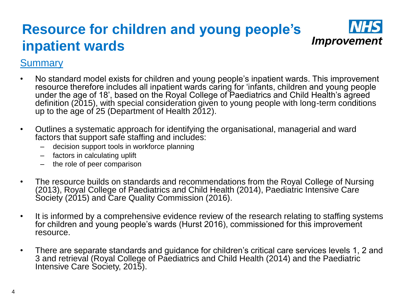#### **Resource for children and young people's Improvement inpatient wards**

#### **Summary**

- No standard model exists for children and young people's inpatient wards. This improvement resource therefore includes all inpatient wards caring for 'infants, children and young people under the age of 18', based on the Royal College of Paediatrics and Child Health's agreed definition (2015), with special consideration given to young people with long-term conditions up to the age of 25 (Department of Health 2012).
- Outlines a systematic approach for identifying the organisational, managerial and ward factors that support safe staffing and includes:
	- decision support tools in workforce planning
	- factors in calculating uplift
	- the role of peer comparison
- The resource builds on standards and recommendations from the Royal College of Nursing (2013), Royal College of Paediatrics and Child Health (2014), Paediatric Intensive Care Society (2015) and Care Quality Commission (2016).
- It is informed by a comprehensive evidence review of the research relating to staffing systems for children and young people's wards (Hurst 2016), commissioned for this improvement resource.
- There are separate standards and guidance for children's critical care services levels 1, 2 and 3 and retrieval (Royal College of Paediatrics and Child Health (2014) and the Paediatric Intensive Care Society, 2015).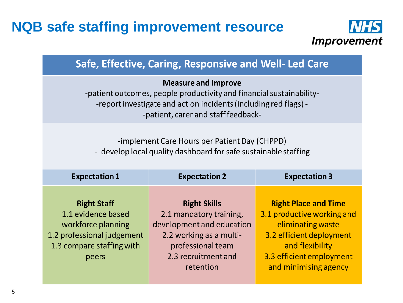#### **NQB safe staffing improvement resource**



#### Safe, Effective, Caring, Responsive and Well- Led Care

#### **Measure and Improve**

-patient outcomes, people productivity and financial sustainability--report investigate and act on incidents (including red flags) --patient, carer and staff feedback-

-implement Care Hours per Patient Day (CHPPD) - develop local quality dashboard for safe sustainable staffing

| <b>Expectation 1</b>       | <b>Expectation 2</b>      | <b>Expectation 3</b>        |
|----------------------------|---------------------------|-----------------------------|
| <b>Right Staff</b>         | <b>Right Skills</b>       | <b>Right Place and Time</b> |
| 1.1 evidence based         | 2.1 mandatory training,   | 3.1 productive working and  |
| workforce planning         | development and education | eliminating waste           |
| 1.2 professional judgement | 2.2 working as a multi-   | 3.2 efficient deployment    |
| 1.3 compare staffing with  | professional team         | and flexibility             |
| peers                      | 2.3 recruitment and       | 3.3 efficient employment    |
|                            | retention                 | and minimising agency       |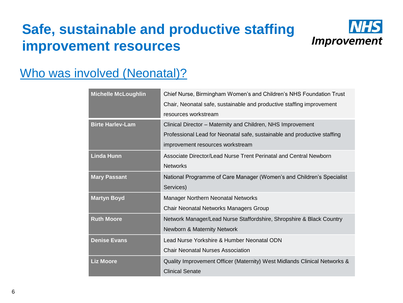## **Safe, sustainable and productive staffing improvement resources**



#### Who was involved (Neonatal)?

| <b>Michelle McLoughlin</b> | Chief Nurse, Birmingham Women's and Children's NHS Foundation Trust       |
|----------------------------|---------------------------------------------------------------------------|
|                            | Chair, Neonatal safe, sustainable and productive staffing improvement     |
|                            | resources workstream                                                      |
| <b>Birte Harlev-Lam</b>    | Clinical Director - Maternity and Children, NHS Improvement               |
|                            | Professional Lead for Neonatal safe, sustainable and productive staffing  |
|                            | improvement resources workstream                                          |
| <b>Linda Hunn</b>          | Associate Director/Lead Nurse Trent Perinatal and Central Newborn         |
|                            | <b>Networks</b>                                                           |
| <b>Mary Passant</b>        | National Programme of Care Manager (Women's and Children's Specialist     |
|                            | Services)                                                                 |
| <b>Martyn Boyd</b>         | Manager Northern Neonatal Networks                                        |
|                            | <b>Chair Neonatal Networks Managers Group</b>                             |
| <b>Ruth Moore</b>          | Network Manager/Lead Nurse Staffordshire, Shropshire & Black Country      |
|                            | Newborn & Maternity Network                                               |
| <b>Denise Evans</b>        | Lead Nurse Yorkshire & Humber Neonatal ODN                                |
|                            | <b>Chair Neonatal Nurses Association</b>                                  |
| <b>Liz Moore</b>           | Quality Improvement Officer (Maternity) West Midlands Clinical Networks & |
|                            | <b>Clinical Senate</b>                                                    |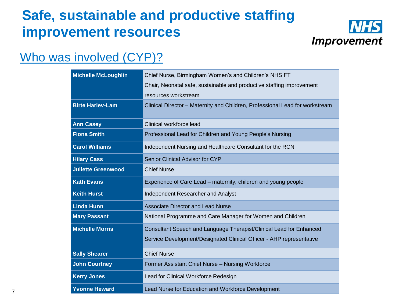## **Safe, sustainable and productive staffing improvement resources**



#### Who was involved (CYP)?

| <b>Michelle McLoughlin</b> | Chief Nurse, Birmingham Women's and Children's NHS FT                        |
|----------------------------|------------------------------------------------------------------------------|
|                            | Chair, Neonatal safe, sustainable and productive staffing improvement        |
|                            | resources workstream                                                         |
| <b>Birte Harlev-Lam</b>    | Clinical Director - Maternity and Children, Professional Lead for workstream |
| <b>Ann Casey</b>           | Clinical workforce lead                                                      |
| <b>Fiona Smith</b>         | Professional Lead for Children and Young People's Nursing                    |
| <b>Carol Williams</b>      | Independent Nursing and Healthcare Consultant for the RCN                    |
| <b>Hilary Cass</b>         | Senior Clinical Advisor for CYP                                              |
| <b>Juliette Greenwood</b>  | <b>Chief Nurse</b>                                                           |
| <b>Kath Evans</b>          | Experience of Care Lead - maternity, children and young people               |
| <b>Keith Hurst</b>         | Independent Researcher and Analyst                                           |
| <b>Linda Hunn</b>          | <b>Associate Director and Lead Nurse</b>                                     |
| <b>Mary Passant</b>        | National Programme and Care Manager for Women and Children                   |
| <b>Michelle Morris</b>     | Consultant Speech and Language Therapist/Clinical Lead for Enhanced          |
|                            | Service Development/Designated Clinical Officer - AHP representative         |
| <b>Sally Shearer</b>       | <b>Chief Nurse</b>                                                           |
| <b>John Courtney</b>       | Former Assistant Chief Nurse - Nursing Workforce                             |
| <b>Kerry Jones</b>         | Lead for Clinical Workforce Redesign                                         |
| <b>Yvonne Heward</b>       | Lead Nurse for Education and Workforce Development                           |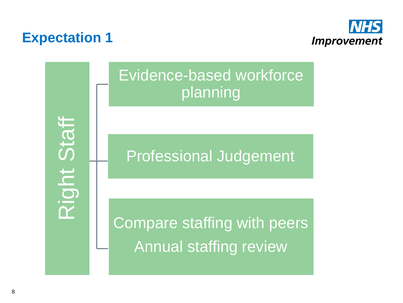#### **Expectation 1**

Right Staff



Evidence-based workforce planning

Professional Judgement

Compare staffing with peers Annual staffing review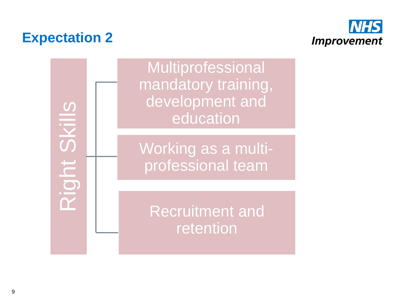## **Expectation 2**



Right Skills

Multiprofessional mandatory training, development and education

Working as a multiprofessional team

Recruitment and retention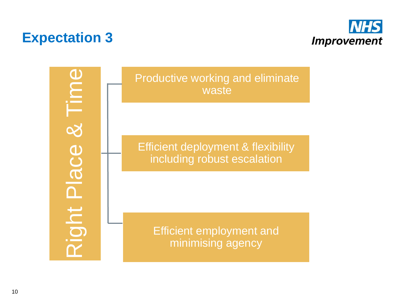# **Expectation 3**



 $\&$  Time Right Place & Time Right Place

Productive working and eliminate waste

Efficient deployment & flexibility including robust escalation

Efficient employment and minimising agency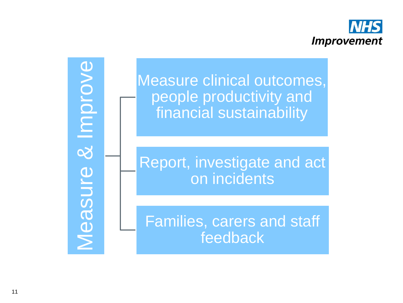

& Improve Measure & Improve Measure

Measure clinical outcomes, people productivity and financial sustainability

Report, investigate and act on incidents

Families, carers and staff feedback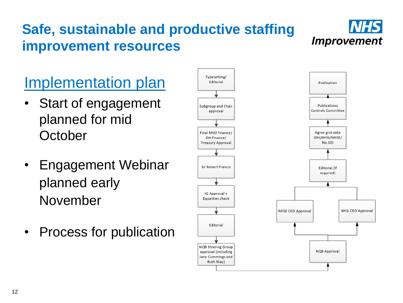# **Safe, sustainable and productive staffing improvement resources**



# Implementation plan

- Start of engagement planned for mid **October**
- Engagement Webinar planned early November
- Process for publication